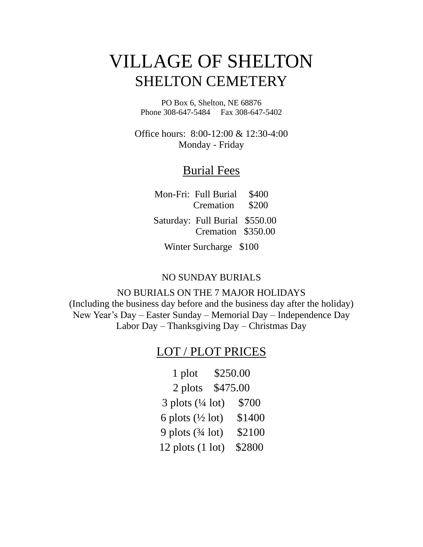## VILLAGE OF SHELTON SHELTON CEMETERY

PO Box 6, Shelton, NE 68876 Phone 308-647-5484 Fax 308-647-5402

Office hours: 8:00-12:00 & 12:30-4:00 Monday - Friday

#### Burial Fees

Mon-Fri: Full Burial \$400 Cremation \$200

 Saturday: Full Burial \$550.00 Cremation \$350.00

Winter Surcharge \$100

#### NO SUNDAY BURIALS

NO BURIALS ON THE 7 MAJOR HOLIDAYS (Including the business day before and the business day after the holiday) New Year's Day – Easter Sunday – Memorial Day – Independence Day Labor Day – Thanksgiving Day – Christmas Day

#### LOT / PLOT PRICES

1 plot \$250.00 2 plots \$475.00 3 plots (¼ lot) \$700 6 plots  $(\frac{1}{2} \text{ lot})$  \$1400 9 plots (¾ lot) \$2100 12 plots (1 lot) \$2800